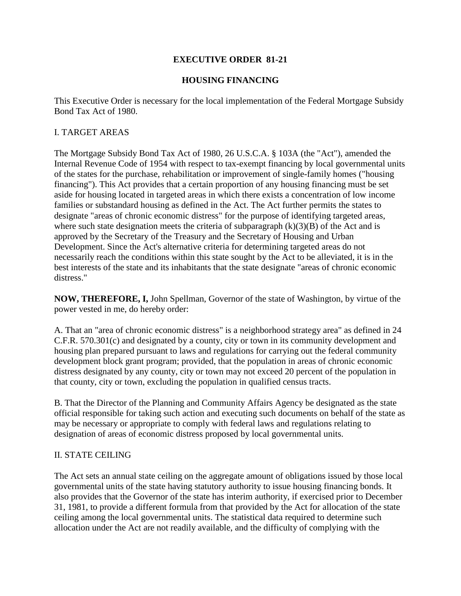## **EXECUTIVE ORDER 81-21**

## **HOUSING FINANCING**

This Executive Order is necessary for the local implementation of the Federal Mortgage Subsidy Bond Tax Act of 1980.

## I. TARGET AREAS

The Mortgage Subsidy Bond Tax Act of 1980, 26 U.S.C.A. § 103A (the "Act"), amended the Internal Revenue Code of 1954 with respect to tax-exempt financing by local governmental units of the states for the purchase, rehabilitation or improvement of single-family homes ("housing financing"). This Act provides that a certain proportion of any housing financing must be set aside for housing located in targeted areas in which there exists a concentration of low income families or substandard housing as defined in the Act. The Act further permits the states to designate "areas of chronic economic distress" for the purpose of identifying targeted areas, where such state designation meets the criteria of subparagraph  $(k)(3)(B)$  of the Act and is approved by the Secretary of the Treasury and the Secretary of Housing and Urban Development. Since the Act's alternative criteria for determining targeted areas do not necessarily reach the conditions within this state sought by the Act to be alleviated, it is in the best interests of the state and its inhabitants that the state designate "areas of chronic economic distress."

**NOW, THEREFORE, I,** John Spellman, Governor of the state of Washington, by virtue of the power vested in me, do hereby order:

A. That an "area of chronic economic distress" is a neighborhood strategy area" as defined in 24 C.F.R. 570.301(c) and designated by a county, city or town in its community development and housing plan prepared pursuant to laws and regulations for carrying out the federal community development block grant program; provided, that the population in areas of chronic economic distress designated by any county, city or town may not exceed 20 percent of the population in that county, city or town, excluding the population in qualified census tracts.

B. That the Director of the Planning and Community Affairs Agency be designated as the state official responsible for taking such action and executing such documents on behalf of the state as may be necessary or appropriate to comply with federal laws and regulations relating to designation of areas of economic distress proposed by local governmental units.

## II. STATE CEILING

The Act sets an annual state ceiling on the aggregate amount of obligations issued by those local governmental units of the state having statutory authority to issue housing financing bonds. It also provides that the Governor of the state has interim authority, if exercised prior to December 31, 1981, to provide a different formula from that provided by the Act for allocation of the state ceiling among the local governmental units. The statistical data required to determine such allocation under the Act are not readily available, and the difficulty of complying with the